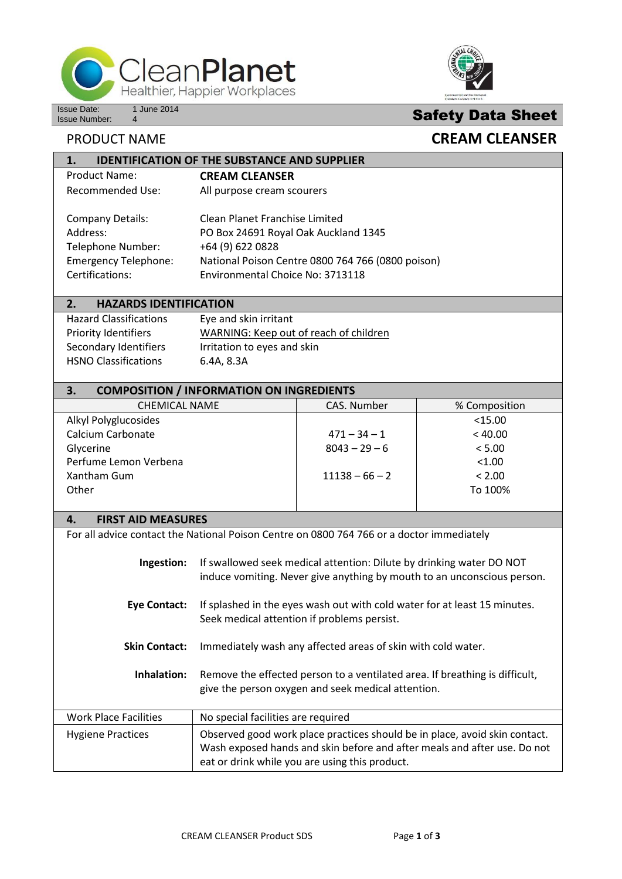

**1. IDENTIFICATION OF THE SUBSTANCE AND SUPPLIER**



# **Safety Data Sheet**

## **PRODUCT NAME CREAM CLEANSER**

| <u>IDENTIFICATION OF THE SUBSTANCE AND SUFFLIEN</u>                                                        |                                                                                                                                                                                     |  |  |
|------------------------------------------------------------------------------------------------------------|-------------------------------------------------------------------------------------------------------------------------------------------------------------------------------------|--|--|
| <b>Product Name:</b>                                                                                       | <b>CREAM CLEANSER</b>                                                                                                                                                               |  |  |
| <b>Recommended Use:</b>                                                                                    | All purpose cream scourers                                                                                                                                                          |  |  |
| <b>Company Details:</b><br>Address:<br>Telephone Number:<br><b>Emergency Telephone:</b><br>Certifications: | Clean Planet Franchise Limited<br>PO Box 24691 Royal Oak Auckland 1345<br>+64 (9) 622 0828<br>National Poison Centre 0800 764 766 (0800 poison)<br>Environmental Choice No: 3713118 |  |  |
|                                                                                                            |                                                                                                                                                                                     |  |  |

### **2. HAZARDS IDENTIFICATION**

| <b>Hazard Classifications</b> | Eye and skin irritant                  |
|-------------------------------|----------------------------------------|
| <b>Priority Identifiers</b>   | WARNING: Keep out of reach of children |
| Secondary Identifiers         | Irritation to eyes and skin            |
| <b>HSNO Classifications</b>   | 6.4A, 8.3A                             |

### **3. COMPOSITION / INFORMATION ON INGREDIENTS**

| CHEMICAL NAME         | CAS. Number      | % Composition |
|-----------------------|------------------|---------------|
| Alkyl Polyglucosides  |                  | $<$ 15.00     |
| Calcium Carbonate     | $471 - 34 - 1$   | < 40.00       |
| Glycerine             | $8043 - 29 - 6$  | < 5.00        |
| Perfume Lemon Verbena |                  | < 1.00        |
| Xantham Gum           | $11138 - 66 - 2$ | < 2.00        |
| Other                 |                  | To 100%       |
|                       |                  |               |

#### **4. FIRST AID MEASURES**

| For all advice contact the National Poison Centre on 0800 764 766 or a doctor immediately |                                                                                                                                                                                                          |
|-------------------------------------------------------------------------------------------|----------------------------------------------------------------------------------------------------------------------------------------------------------------------------------------------------------|
| Ingestion:                                                                                | If swallowed seek medical attention: Dilute by drinking water DO NOT<br>induce vomiting. Never give anything by mouth to an unconscious person.                                                          |
| <b>Eye Contact:</b>                                                                       | If splashed in the eyes wash out with cold water for at least 15 minutes.<br>Seek medical attention if problems persist.                                                                                 |
| <b>Skin Contact:</b>                                                                      | Immediately wash any affected areas of skin with cold water.                                                                                                                                             |
| Inhalation:                                                                               | Remove the effected person to a ventilated area. If breathing is difficult,<br>give the person oxygen and seek medical attention.                                                                        |
| Work Place Facilities                                                                     | No special facilities are required                                                                                                                                                                       |
| <b>Hygiene Practices</b>                                                                  | Observed good work place practices should be in place, avoid skin contact.<br>Wash exposed hands and skin before and after meals and after use. Do not<br>eat or drink while you are using this product. |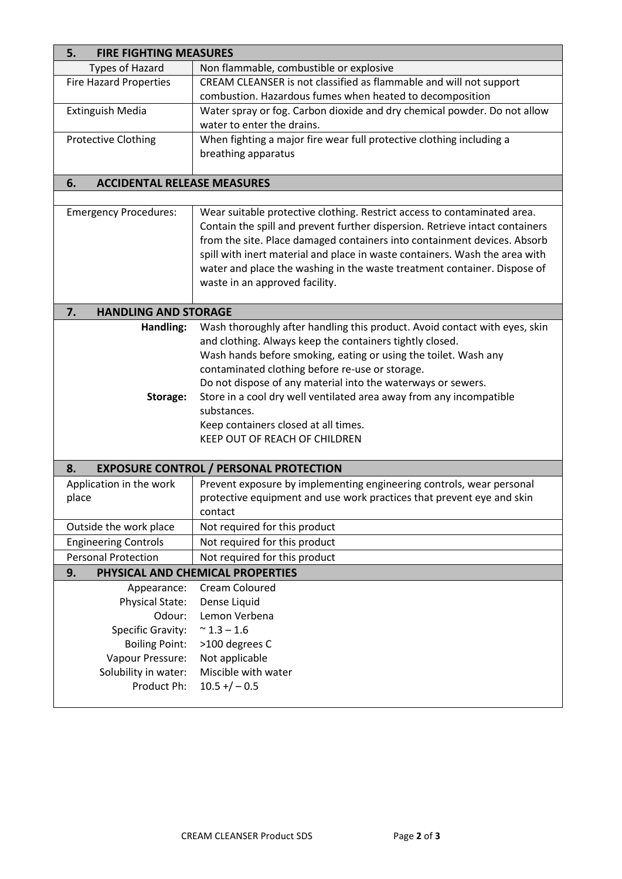| <b>FIRE FIGHTING MEASURES</b><br>5.      |                                                                                                                                                                                                                                                                                                                                                                                                                                   |  |
|------------------------------------------|-----------------------------------------------------------------------------------------------------------------------------------------------------------------------------------------------------------------------------------------------------------------------------------------------------------------------------------------------------------------------------------------------------------------------------------|--|
| <b>Types of Hazard</b>                   | Non flammable, combustible or explosive                                                                                                                                                                                                                                                                                                                                                                                           |  |
| <b>Fire Hazard Properties</b>            | CREAM CLEANSER is not classified as flammable and will not support                                                                                                                                                                                                                                                                                                                                                                |  |
|                                          | combustion. Hazardous fumes when heated to decomposition                                                                                                                                                                                                                                                                                                                                                                          |  |
| <b>Extinguish Media</b>                  | Water spray or fog. Carbon dioxide and dry chemical powder. Do not allow                                                                                                                                                                                                                                                                                                                                                          |  |
|                                          | water to enter the drains.                                                                                                                                                                                                                                                                                                                                                                                                        |  |
| <b>Protective Clothing</b>               | When fighting a major fire wear full protective clothing including a                                                                                                                                                                                                                                                                                                                                                              |  |
|                                          | breathing apparatus                                                                                                                                                                                                                                                                                                                                                                                                               |  |
|                                          |                                                                                                                                                                                                                                                                                                                                                                                                                                   |  |
| 6.<br><b>ACCIDENTAL RELEASE MEASURES</b> |                                                                                                                                                                                                                                                                                                                                                                                                                                   |  |
|                                          |                                                                                                                                                                                                                                                                                                                                                                                                                                   |  |
| <b>Emergency Procedures:</b>             | Wear suitable protective clothing. Restrict access to contaminated area.<br>Contain the spill and prevent further dispersion. Retrieve intact containers<br>from the site. Place damaged containers into containment devices. Absorb<br>spill with inert material and place in waste containers. Wash the area with<br>water and place the washing in the waste treatment container. Dispose of<br>waste in an approved facility. |  |
| <b>HANDLING AND STORAGE</b><br>7.        |                                                                                                                                                                                                                                                                                                                                                                                                                                   |  |
| Handling:                                | Wash thoroughly after handling this product. Avoid contact with eyes, skin<br>and clothing. Always keep the containers tightly closed.<br>Wash hands before smoking, eating or using the toilet. Wash any<br>contaminated clothing before re-use or storage.<br>Do not dispose of any material into the waterways or sewers.                                                                                                      |  |
| Storage:                                 | Store in a cool dry well ventilated area away from any incompatible<br>substances.<br>Keep containers closed at all times.<br>KEEP OUT OF REACH OF CHILDREN                                                                                                                                                                                                                                                                       |  |
| 8.                                       | <b>EXPOSURE CONTROL / PERSONAL PROTECTION</b>                                                                                                                                                                                                                                                                                                                                                                                     |  |
| Application in the work<br>place         | Prevent exposure by implementing engineering controls, wear personal<br>protective equipment and use work practices that prevent eye and skin<br>contact                                                                                                                                                                                                                                                                          |  |
| Outside the work place                   | Not required for this product                                                                                                                                                                                                                                                                                                                                                                                                     |  |
| <b>Engineering Controls</b>              | Not required for this product                                                                                                                                                                                                                                                                                                                                                                                                     |  |
| <b>Personal Protection</b>               | Not required for this product                                                                                                                                                                                                                                                                                                                                                                                                     |  |
| 9.                                       | PHYSICAL AND CHEMICAL PROPERTIES                                                                                                                                                                                                                                                                                                                                                                                                  |  |
| Appearance:                              | Cream Coloured                                                                                                                                                                                                                                                                                                                                                                                                                    |  |
| Physical State:                          | Dense Liquid                                                                                                                                                                                                                                                                                                                                                                                                                      |  |
| Odour:                                   | Lemon Verbena                                                                                                                                                                                                                                                                                                                                                                                                                     |  |
| <b>Specific Gravity:</b>                 | $~^{\sim}$ 1.3 – 1.6                                                                                                                                                                                                                                                                                                                                                                                                              |  |
| <b>Boiling Point:</b>                    | >100 degrees C                                                                                                                                                                                                                                                                                                                                                                                                                    |  |
| Vapour Pressure:                         | Not applicable                                                                                                                                                                                                                                                                                                                                                                                                                    |  |
| Solubility in water:                     | Miscible with water                                                                                                                                                                                                                                                                                                                                                                                                               |  |
| Product Ph:                              | $10.5 + / -0.5$                                                                                                                                                                                                                                                                                                                                                                                                                   |  |